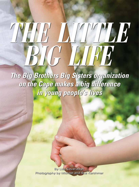## *THE LITTLE BIG LIFE*

*The Big Brothers Big Sisters organization on the Cape makes a big difference in young people's lives*

> By Lisa Cavanaugh Photography by Michael and Suz Karchmer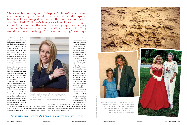*"No matter what adversity I faced, she never gave up on me."*



But the generous affection of a local woman rescued the troubled little girl. "Meeting Marilyn was the defining moment of my life," says Philbrook, referring to her "Big Sister," her mentoring match from Big Brothers Big Sisters of Cape Cod & the Islands. After her mother enrolled both Philbrook and her sister in the program, Philbrook and Marilyn Roche bonded immediately. They would meet up once a week to talk or go to the beach. "Simple stuff like that had a big impact," she recalls. Still, she was surprised when, after she admitted to Roche that she and her mom and sisters were living in the park, Roche was eager to visit.

"She said, 'Why don't I come join you for a campout? And I thought, Really? You want to sleep outside?" Philbrook still seems incredulous after all these years. "But she arrived with marshmallows, and chocolate and graham crackers and we built a campfire. So for that one night, it was OK. It was fun. She gave me that moment of dignity and it made all the difference."

That simple act of kindness is a wonderful example of what a "Big" can do for a child in crisis. Melanie Fenstermaker, development coordinator of BBBS of Cape Cod & the Islands,

has seen this kind of transformation many times. "The best stories we hear are those from former Littles who say that hands down, having a Big made an enormous impact on their success in life," says Fenstermaker. Philbrook went

on to graduate from high school ("often doing my homework at Roche's kitchen table"), earn her bachelor's degree at Westfield State University and to attend Villanova University School of Law before returning to the Cape. She is now a lawyer and the owner of Cape Cod Title and Escrow, P.C., in Barnstable, with offices also in Orleans and Falmouth. Philbrook, who has a family of her own, credits her relationship with Roche as the key to

her success. "No matter what adversity I faced, she never gave up on me," says Philbrook. "She was an amazing friend, and whenever I would doubt myself, I would close my eyes and say, 'I'm not alone; I have Marilyn.' "

"Kids can be not very nice." Angela Philbrook's voice waivers remembering the taunts she received decades ago as her school bus dropped her off at the entrance to Nickerson State Park. Philbrook's family was homeless and living in a tent for several months while she was going to elementary school in Brewster—one of nine she attended as a child. "They would call me 'jungle girl.' It was mortifying," she says.



"Meeting Marilyn was the defining moment of my life," says lawyer Angela Philbrook, pictured at her Orleans office. Philbrook wears a silver bracelet that was and remains her mantra today: "She believed she could, so she did."

PHOTOS COURTESY OF ANGELA PHILBROOK